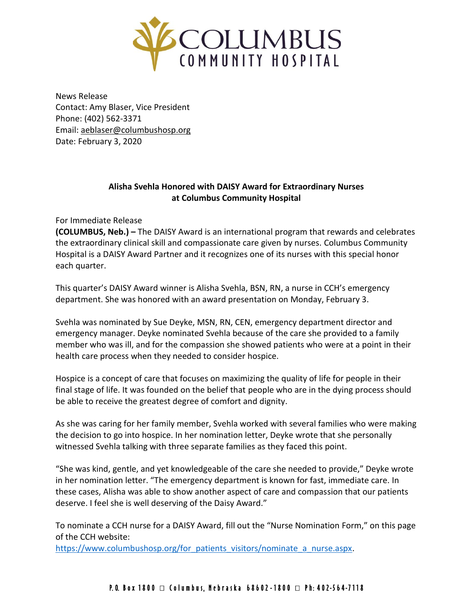

News Release Contact: Amy Blaser, Vice President Phone: (402) 562-3371 Email: [aeblaser@columbushosp.org](mailto:aeblaser@columbushosp.org) Date: February 3, 2020

## **Alisha Svehla Honored with DAISY Award for Extraordinary Nurses at Columbus Community Hospital**

For Immediate Release

**(COLUMBUS, Neb.) –** The DAISY Award is an international program that rewards and celebrates the extraordinary clinical skill and compassionate care given by nurses. Columbus Community Hospital is a DAISY Award Partner and it recognizes one of its nurses with this special honor each quarter.

This quarter's DAISY Award winner is Alisha Svehla, BSN, RN, a nurse in CCH's emergency department. She was honored with an award presentation on Monday, February 3.

Svehla was nominated by Sue Deyke, MSN, RN, CEN, emergency department director and emergency manager. Deyke nominated Svehla because of the care she provided to a family member who was ill, and for the compassion she showed patients who were at a point in their health care process when they needed to consider hospice.

Hospice is a concept of care that focuses on maximizing the quality of life for people in their final stage of life. It was founded on the belief that people who are in the dying process should be able to receive the greatest degree of comfort and dignity.

As she was caring for her family member, Svehla worked with several families who were making the decision to go into hospice. In her nomination letter, Deyke wrote that she personally witnessed Svehla talking with three separate families as they faced this point.

"She was kind, gentle, and yet knowledgeable of the care she needed to provide," Deyke wrote in her nomination letter. "The emergency department is known for fast, immediate care. In these cases, Alisha was able to show another aspect of care and compassion that our patients deserve. I feel she is well deserving of the Daisy Award."

To nominate a CCH nurse for a DAISY Award, fill out the "Nurse Nomination Form," on this page of the CCH website:

[https://www.columbushosp.org/for\\_patients\\_visitors/nominate\\_a\\_nurse.aspx.](https://www.columbushosp.org/for_patients_visitors/nominate_a_nurse.aspx)

## P. O. Box 1800  $\Box$  Columbus, Nebraska 68602-1800  $\Box$  Ph: 402-564-7118